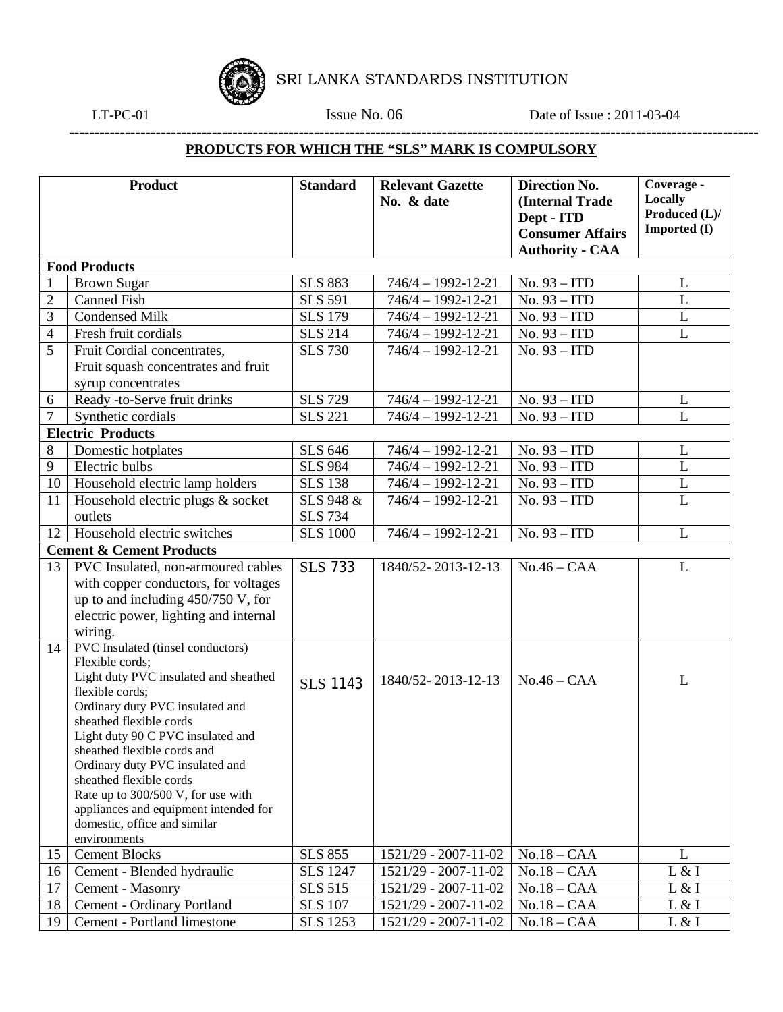

SRI LANKA STANDARDS INSTITUTION

---------------------------------------------------------------------------------------------------------------------------------------

LT-PC-01 **Issue No. 06** Date of Issue : 2011-03-04

## **PRODUCTS FOR WHICH THE "SLS" MARK IS COMPULSORY**

| <b>Product</b>       |                                                               | <b>Standard</b> | <b>Relevant Gazette</b>  | <b>Direction No.</b>    | Coverage -          |  |  |  |  |
|----------------------|---------------------------------------------------------------|-----------------|--------------------------|-------------------------|---------------------|--|--|--|--|
|                      |                                                               |                 | No. & date               | (Internal Trade         | <b>Locally</b>      |  |  |  |  |
|                      |                                                               |                 |                          | Dept - ITD              | Produced (L)/       |  |  |  |  |
|                      |                                                               |                 |                          | <b>Consumer Affairs</b> | <b>Imported</b> (I) |  |  |  |  |
|                      |                                                               |                 |                          | <b>Authority - CAA</b>  |                     |  |  |  |  |
| <b>Food Products</b> |                                                               |                 |                          |                         |                     |  |  |  |  |
| $\mathbf{1}$         | <b>Brown Sugar</b>                                            | <b>SLS 883</b>  | $746/4 - 1992 - 12 - 21$ | No. 93 - ITD            | L                   |  |  |  |  |
| $\overline{2}$       | <b>Canned Fish</b>                                            | <b>SLS 591</b>  | $746/4 - 1992 - 12 - 21$ | No. 93 - ITD            | L                   |  |  |  |  |
| 3                    | <b>Condensed Milk</b>                                         | <b>SLS 179</b>  | $746/4 - 1992 - 12 - 21$ | No. 93 - ITD            | L                   |  |  |  |  |
| 4                    | Fresh fruit cordials                                          | <b>SLS 214</b>  | $746/4 - 1992 - 12 - 21$ | No. 93 - ITD            | L                   |  |  |  |  |
| 5                    | Fruit Cordial concentrates,                                   | <b>SLS 730</b>  | $746/4 - 1992 - 12 - 21$ | No. 93 - ITD            |                     |  |  |  |  |
|                      | Fruit squash concentrates and fruit                           |                 |                          |                         |                     |  |  |  |  |
|                      | syrup concentrates                                            |                 |                          |                         |                     |  |  |  |  |
| 6                    | Ready -to-Serve fruit drinks                                  | <b>SLS 729</b>  | $746/4 - 1992 - 12 - 21$ | No. 93 - ITD            | L                   |  |  |  |  |
| 7                    | Synthetic cordials                                            | <b>SLS 221</b>  | $746/4 - 1992 - 12 - 21$ | No. 93 - ITD            | L                   |  |  |  |  |
|                      | <b>Electric Products</b>                                      |                 |                          |                         |                     |  |  |  |  |
| 8                    | Domestic hotplates                                            | <b>SLS 646</b>  | $746/4 - 1992 - 12 - 21$ | No. 93 - ITD            | L                   |  |  |  |  |
| 9                    | Electric bulbs                                                | <b>SLS 984</b>  | $746/4 - 1992 - 12 - 21$ | No. 93 - ITD            | L                   |  |  |  |  |
| 10                   | Household electric lamp holders                               | <b>SLS 138</b>  | $746/4 - 1992 - 12 - 21$ | No. 93 - ITD            | $\overline{L}$      |  |  |  |  |
| 11                   | Household electric plugs & socket                             | SLS 948 &       | $746/4 - 1992 - 12 - 21$ | No. 93 - ITD            | $\mathbf{L}$        |  |  |  |  |
|                      | outlets                                                       | <b>SLS</b> 734  |                          |                         |                     |  |  |  |  |
| 12                   | Household electric switches                                   | <b>SLS 1000</b> | $746/4 - 1992 - 12 - 21$ | No. 93 - ITD            | L                   |  |  |  |  |
|                      | <b>Cement &amp; Cement Products</b>                           |                 |                          |                         |                     |  |  |  |  |
| 13                   | PVC Insulated, non-armoured cables                            | <b>SLS 733</b>  | 1840/52-2013-12-13       | $No.46 - CAA$           | L                   |  |  |  |  |
|                      | with copper conductors, for voltages                          |                 |                          |                         |                     |  |  |  |  |
|                      | up to and including $450/750$ V, for                          |                 |                          |                         |                     |  |  |  |  |
|                      | electric power, lighting and internal                         |                 |                          |                         |                     |  |  |  |  |
|                      | wiring.                                                       |                 |                          |                         |                     |  |  |  |  |
| 14                   | PVC Insulated (tinsel conductors)                             |                 |                          |                         |                     |  |  |  |  |
|                      | Flexible cords;                                               |                 |                          |                         |                     |  |  |  |  |
|                      | Light duty PVC insulated and sheathed                         | <b>SLS 1143</b> | 1840/52-2013-12-13       | $No.46 - CAA$           | L                   |  |  |  |  |
|                      | flexible cords;                                               |                 |                          |                         |                     |  |  |  |  |
|                      | Ordinary duty PVC insulated and                               |                 |                          |                         |                     |  |  |  |  |
|                      | sheathed flexible cords                                       |                 |                          |                         |                     |  |  |  |  |
|                      | Light duty 90 C PVC insulated and                             |                 |                          |                         |                     |  |  |  |  |
|                      | sheathed flexible cords and                                   |                 |                          |                         |                     |  |  |  |  |
|                      | Ordinary duty PVC insulated and                               |                 |                          |                         |                     |  |  |  |  |
|                      | sheathed flexible cords<br>Rate up to 300/500 V, for use with |                 |                          |                         |                     |  |  |  |  |
|                      | appliances and equipment intended for                         |                 |                          |                         |                     |  |  |  |  |
|                      | domestic, office and similar                                  |                 |                          |                         |                     |  |  |  |  |
|                      | environments                                                  |                 |                          |                         |                     |  |  |  |  |
| 15                   | <b>Cement Blocks</b>                                          | <b>SLS 855</b>  | 1521/29 - 2007-11-02     | $No.18 - CAA$           | L                   |  |  |  |  |
| 16                   | Cement - Blended hydraulic                                    | <b>SLS 1247</b> | 1521/29 - 2007-11-02     | $No.18 - CAA$           | L & I               |  |  |  |  |
| 17                   | Cement - Masonry                                              | <b>SLS 515</b>  | 1521/29 - 2007-11-02     | $No.18 - CAA$           | L & I               |  |  |  |  |
| 18                   | Cement - Ordinary Portland                                    | <b>SLS 107</b>  | 1521/29 - 2007-11-02     | $No.18 - CAA$           | L & I               |  |  |  |  |
| 19                   | Cement - Portland limestone                                   | <b>SLS</b> 1253 | 1521/29 - 2007-11-02     | $No.18 - CAA$           | L & I               |  |  |  |  |